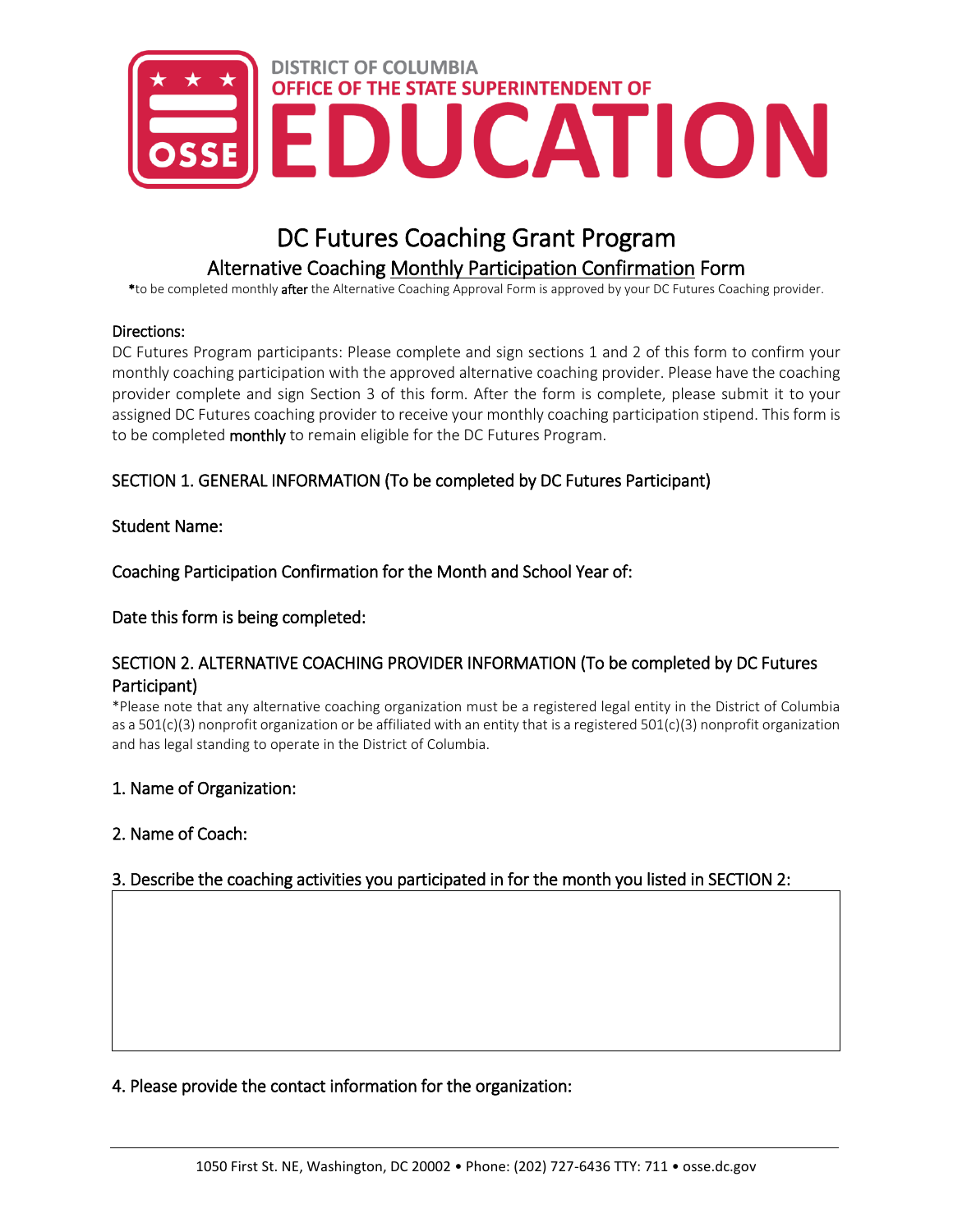

# DC Futures Coaching Grant Program Alternative Coaching Monthly Participation Confirmation Form

\*to be completed monthly after the Alternative Coaching Approval Form is approved by your DC Futures Coaching provider.

#### Directions:

DC Futures Program participants: Please complete and sign sections 1 and 2 of this form to confirm your monthly coaching participation with the approved alternative coaching provider. Please have the coaching provider complete and sign Section 3 of this form. After the form is complete, please submit it to your assigned DC Futures coaching provider to receive your monthly coaching participation stipend. This form is to be completed monthly to remain eligible for the DC Futures Program.

## SECTION 1. GENERAL INFORMATION (To be completed by DC Futures Participant)

#### Student Name:

Coaching Participation Confirmation for the Month and School Year of:

Date this form is being completed:

## SECTION 2. ALTERNATIVE COACHING PROVIDER INFORMATION (To be completed by DC Futures Participant)

\*Please note that any alternative coaching organization must be a registered legal entity in the District of Columbia as a 501(c)(3) nonprofit organization or be affiliated with an entity that is a registered 501(c)(3) nonprofit organization and has legal standing to operate in the District of Columbia.

#### 1. Name of Organization:

## 2. Name of Coach:

## 3. Describe the coaching activities you participated in for the month you listed in SECTION 2:

4. Please provide the contact information for the organization: